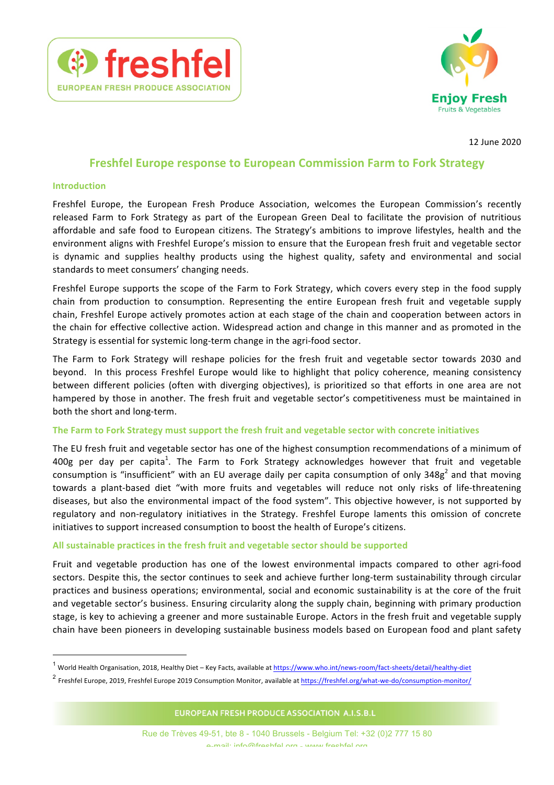



12 June 2020

# **Freshfel Europe response to European Commission Farm to Fork Strategy**

#### **Introduction**

Freshfel Europe, the European Fresh Produce Association, welcomes the European Commission's recently released Farm to Fork Strategy as part of the European Green Deal to facilitate the provision of nutritious affordable and safe food to European citizens. The Strategy's ambitions to improve lifestyles, health and the environment aligns with Freshfel Europe's mission to ensure that the European fresh fruit and vegetable sector is dynamic and supplies healthy products using the highest quality, safety and environmental and social standards to meet consumers' changing needs.

Freshfel Europe supports the scope of the Farm to Fork Strategy, which covers every step in the food supply chain from production to consumption. Representing the entire European fresh fruit and vegetable supply chain, Freshfel Europe actively promotes action at each stage of the chain and cooperation between actors in the chain for effective collective action. Widespread action and change in this manner and as promoted in the Strategy is essential for systemic long-term change in the agri-food sector.

The Farm to Fork Strategy will reshape policies for the fresh fruit and vegetable sector towards 2030 and beyond. In this process Freshfel Europe would like to highlight that policy coherence, meaning consistency between different policies (often with diverging objectives), is prioritized so that efforts in one area are not hampered by those in another. The fresh fruit and vegetable sector's competitiveness must be maintained in both the short and long-term.

#### The Farm to Fork Strategy must support the fresh fruit and vegetable sector with concrete initiatives

The EU fresh fruit and vegetable sector has one of the highest consumption recommendations of a minimum of 400g per day per capita<sup>1</sup>. The Farm to Fork Strategy acknowledges however that fruit and vegetable consumption is "insufficient" with an EU average daily per capita consumption of only 348g<sup>2</sup> and that moving towards a plant-based diet "with more fruits and vegetables will reduce not only risks of life-threatening diseases, but also the environmental impact of the food system". This objective however, is not supported by regulatory and non-regulatory initiatives in the Strategy. Freshfel Europe laments this omission of concrete initiatives to support increased consumption to boost the health of Europe's citizens.

### All sustainable practices in the fresh fruit and vegetable sector should be supported

Fruit and vegetable production has one of the lowest environmental impacts compared to other agri-food sectors. Despite this, the sector continues to seek and achieve further long-term sustainability through circular practices and business operations; environmental, social and economic sustainability is at the core of the fruit and vegetable sector's business. Ensuring circularity along the supply chain, beginning with primary production stage, is key to achieving a greener and more sustainable Europe. Actors in the fresh fruit and vegetable supply chain have been pioneers in developing sustainable business models based on European food and plant safety

EUROPEAN FRESH PRODUCE ASSOCIATION A.I.S.B.L

<sup>&</sup>lt;sup>1</sup> World Health Organisation, 2018, Healthy Diet – Key Facts, available at https://www.who.int/news-room/fact-sheets/detail/healthy-diet

 $2$  Freshfel Europe, 2019, Freshfel Europe 2019 Consumption Monitor, available at  $\frac{https://freshfel.org/what-we-do/consumption-monitor/}{https://freshfel.org/what-we-do/consumption-monitor/}$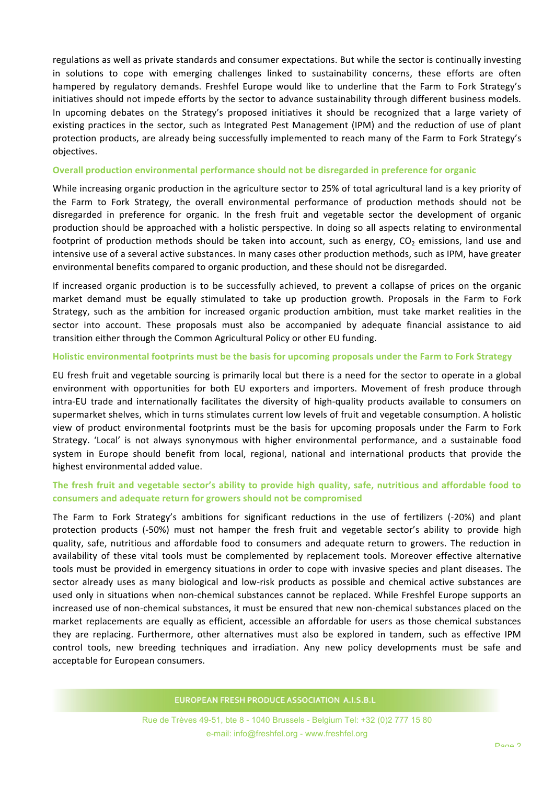regulations as well as private standards and consumer expectations. But while the sector is continually investing in solutions to cope with emerging challenges linked to sustainability concerns, these efforts are often hampered by regulatory demands. Freshfel Europe would like to underline that the Farm to Fork Strategy's initiatives should not impede efforts by the sector to advance sustainability through different business models. In upcoming debates on the Strategy's proposed initiatives it should be recognized that a large variety of existing practices in the sector, such as Integrated Pest Management (IPM) and the reduction of use of plant protection products, are already being successfully implemented to reach many of the Farm to Fork Strategy's objectives. 

#### **Overall production environmental performance should not be disregarded in preference for organic**

While increasing organic production in the agriculture sector to 25% of total agricultural land is a key priority of the Farm to Fork Strategy, the overall environmental performance of production methods should not be disregarded in preference for organic. In the fresh fruit and vegetable sector the development of organic production should be approached with a holistic perspective. In doing so all aspects relating to environmental footprint of production methods should be taken into account, such as energy,  $CO<sub>2</sub>$  emissions, land use and intensive use of a several active substances. In many cases other production methods, such as IPM, have greater environmental benefits compared to organic production, and these should not be disregarded.

If increased organic production is to be successfully achieved, to prevent a collapse of prices on the organic market demand must be equally stimulated to take up production growth. Proposals in the Farm to Fork Strategy, such as the ambition for increased organic production ambition, must take market realities in the sector into account. These proposals must also be accompanied by adequate financial assistance to aid transition either through the Common Agricultural Policy or other EU funding.

#### Holistic environmental footprints must be the basis for upcoming proposals under the Farm to Fork Strategy

EU fresh fruit and vegetable sourcing is primarily local but there is a need for the sector to operate in a global environment with opportunities for both EU exporters and importers. Movement of fresh produce through intra-EU trade and internationally facilitates the diversity of high-quality products available to consumers on supermarket shelves, which in turns stimulates current low levels of fruit and vegetable consumption. A holistic view of product environmental footprints must be the basis for upcoming proposals under the Farm to Fork Strategy. 'Local' is not always synonymous with higher environmental performance, and a sustainable food system in Europe should benefit from local, regional, national and international products that provide the highest environmental added value.

## The fresh fruit and vegetable sector's ability to provide high quality, safe, nutritious and affordable food to consumers and adequate return for growers should not be compromised

The Farm to Fork Strategy's ambitions for significant reductions in the use of fertilizers (-20%) and plant protection products (-50%) must not hamper the fresh fruit and vegetable sector's ability to provide high quality, safe, nutritious and affordable food to consumers and adequate return to growers. The reduction in availability of these vital tools must be complemented by replacement tools. Moreover effective alternative tools must be provided in emergency situations in order to cope with invasive species and plant diseases. The sector already uses as many biological and low-risk products as possible and chemical active substances are used only in situations when non-chemical substances cannot be replaced. While Freshfel Europe supports an increased use of non-chemical substances, it must be ensured that new non-chemical substances placed on the market replacements are equally as efficient, accessible an affordable for users as those chemical substances they are replacing. Furthermore, other alternatives must also be explored in tandem, such as effective IPM control tools, new breeding techniques and irradiation. Any new policy developments must be safe and acceptable for European consumers.

EUROPEAN FRESH PRODUCE ASSOCIATION A.I.S.B.L

Rue de Trèves 49-51, bte 8 - 1040 Brussels - Belgium Tel: +32 (0)2 777 15 80 e-mail: info@freshfel.org - www.freshfel.org